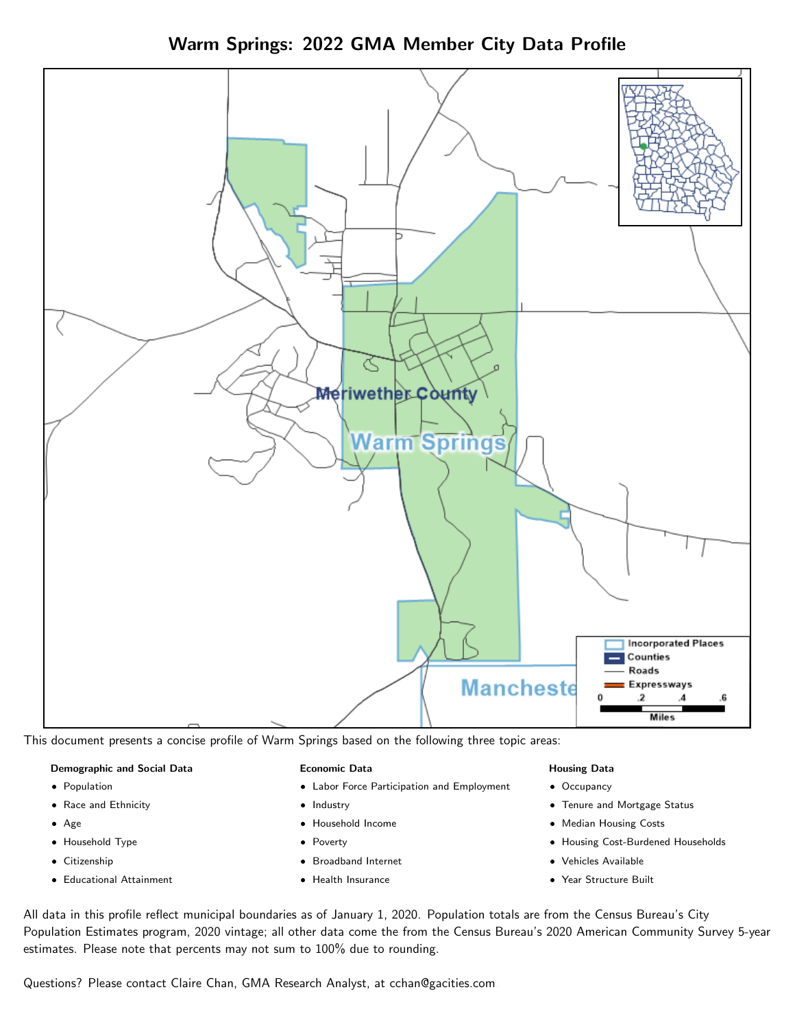Warm Springs: 2022 GMA Member City Data Profile



This document presents a concise profile of Warm Springs based on the following three topic areas:

## Demographic and Social Data

- **•** Population
- Race and Ethnicity
- Age
- Household Type
- **Citizenship**
- Educational Attainment

## Economic Data

- Labor Force Participation and Employment
- Industry
- Household Income
- Poverty
- Broadband Internet
- Health Insurance

#### Housing Data

- Occupancy
- Tenure and Mortgage Status
- Median Housing Costs
- Housing Cost-Burdened Households
- Vehicles Available
- Year Structure Built

All data in this profile reflect municipal boundaries as of January 1, 2020. Population totals are from the Census Bureau's City Population Estimates program, 2020 vintage; all other data come the from the Census Bureau's 2020 American Community Survey 5-year estimates. Please note that percents may not sum to 100% due to rounding.

Questions? Please contact Claire Chan, GMA Research Analyst, at [cchan@gacities.com.](mailto:cchan@gacities.com)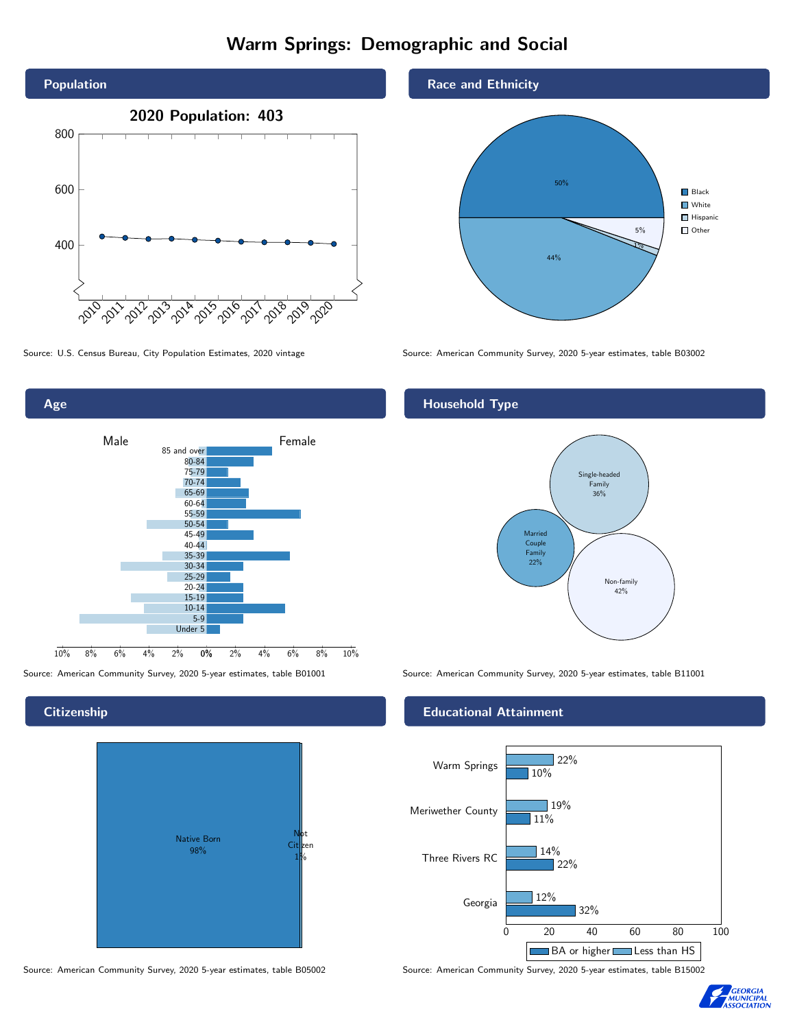# Warm Springs: Demographic and Social





## **Citizenship**



## Race and Ethnicity



Source: U.S. Census Bureau, City Population Estimates, 2020 vintage Source: American Community Survey, 2020 5-year estimates, table B03002

# Household Type



Source: American Community Survey, 2020 5-year estimates, table B01001 Source: American Community Survey, 2020 5-year estimates, table B11001

## Educational Attainment



Source: American Community Survey, 2020 5-year estimates, table B05002 Source: American Community Survey, 2020 5-year estimates, table B15002

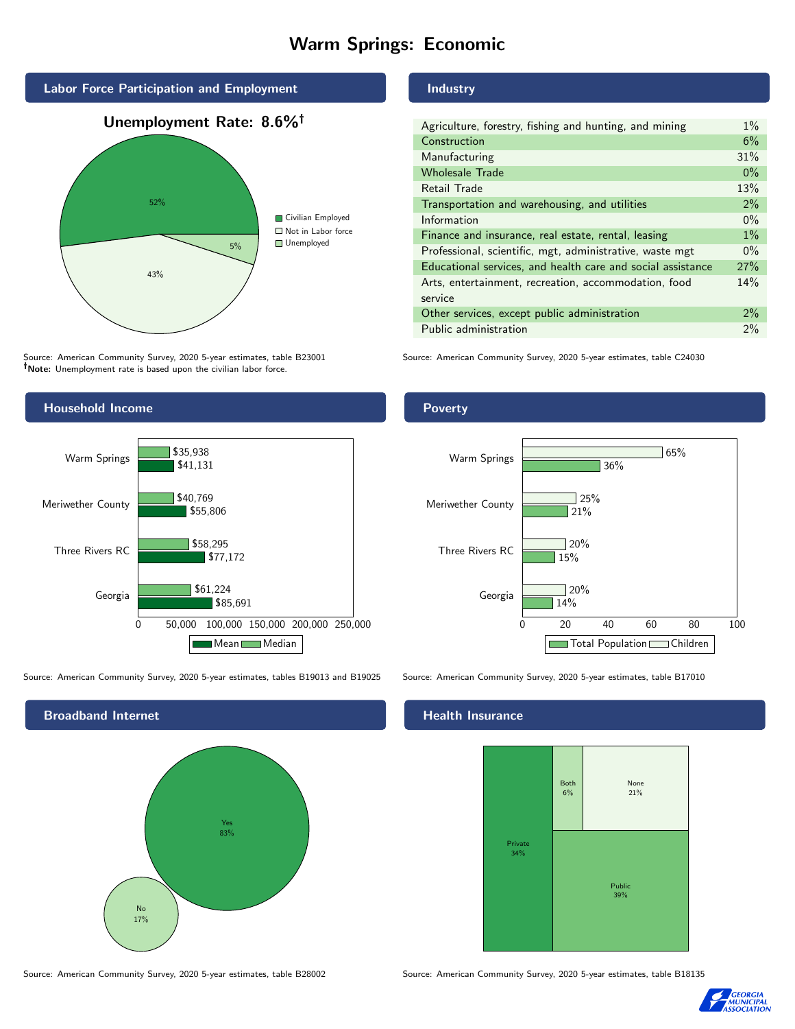# Warm Springs: Economic



Source: American Community Survey, 2020 5-year estimates, table B23001 Note: Unemployment rate is based upon the civilian labor force.

## Industry

| Agriculture, forestry, fishing and hunting, and mining      | $1\%$ |
|-------------------------------------------------------------|-------|
| Construction                                                | 6%    |
| Manufacturing                                               | 31%   |
| <b>Wholesale Trade</b>                                      | $0\%$ |
| Retail Trade                                                | 13%   |
| Transportation and warehousing, and utilities               | 2%    |
| Information                                                 | $0\%$ |
| Finance and insurance, real estate, rental, leasing         | $1\%$ |
| Professional, scientific, mgt, administrative, waste mgt    | $0\%$ |
| Educational services, and health care and social assistance | 27%   |
| Arts, entertainment, recreation, accommodation, food        | 14%   |
| service                                                     |       |
| Other services, except public administration                | 2%    |
| Public administration                                       | 2%    |
|                                                             |       |

Source: American Community Survey, 2020 5-year estimates, table C24030



Source: American Community Survey, 2020 5-year estimates, tables B19013 and B19025 Source: American Community Survey, 2020 5-year estimates, table B17010



## **Poverty**



## Health Insurance



Source: American Community Survey, 2020 5-year estimates, table B28002 Source: American Community Survey, 2020 5-year estimates, table B18135